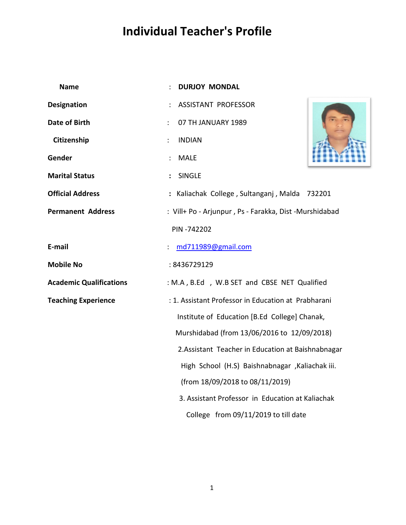## **Individual Teacher's Profile dividual**

| <b>Name</b>                    | <b>DURJOY MONDAL</b>                                    |  |
|--------------------------------|---------------------------------------------------------|--|
| <b>Designation</b>             | <b>ASSISTANT PROFESSOR</b>                              |  |
| <b>Date of Birth</b>           | 07 TH JANUARY 1989<br>$\ddot{\cdot}$                    |  |
| Citizenship                    | <b>INDIAN</b><br>$\ddot{\cdot}$                         |  |
| Gender                         | <b>MALE</b>                                             |  |
| <b>Marital Status</b>          | <b>SINGLE</b>                                           |  |
| <b>Official Address</b>        | : Kaliachak College, Sultanganj, Malda 732201           |  |
| <b>Permanent Address</b>       | : Vill+ Po - Arjunpur, Ps - Farakka, Dist - Murshidabad |  |
|                                | PIN-742202                                              |  |
| E-mail                         | md711989@gmail.com                                      |  |
| <b>Mobile No</b>               | : 8436729129                                            |  |
| <b>Academic Qualifications</b> | : M.A, B.Ed, W.B SET and CBSE NET Qualified             |  |
| <b>Teaching Experience</b>     | : 1. Assistant Professor in Education at Prabharani     |  |
|                                | Institute of Education [B.Ed College] Chanak,           |  |
|                                | Murshidabad (from 13/06/2016 to 12/09/2018)             |  |
|                                | 2. Assistant Teacher in Education at Baishnabnagar      |  |
|                                | High School (H.S) Baishnabnagar , Kaliachak iii.        |  |
|                                | (from 18/09/2018 to 08/11/2019)                         |  |
|                                | 3. Assistant Professor in Education at Kaliachak        |  |
|                                | College from 09/11/2019 to till date                    |  |